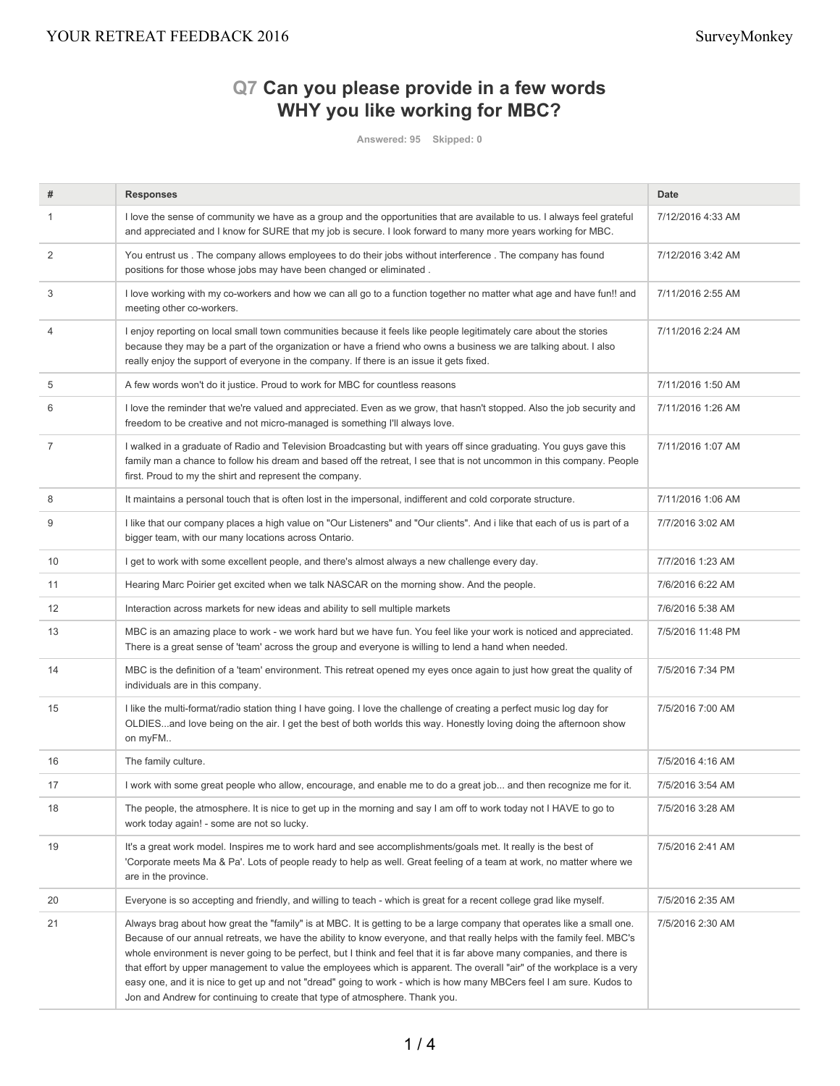# **Q7 Can you please provide in a few words WHY you like working for MBC?**

**Answered: 95 Skipped: 0**

| #              | <b>Responses</b>                                                                                                                                                                                                                                                                                                                                                                                                                                                                                                                                                                                                                                                                                              | <b>Date</b>       |
|----------------|---------------------------------------------------------------------------------------------------------------------------------------------------------------------------------------------------------------------------------------------------------------------------------------------------------------------------------------------------------------------------------------------------------------------------------------------------------------------------------------------------------------------------------------------------------------------------------------------------------------------------------------------------------------------------------------------------------------|-------------------|
| 1              | I love the sense of community we have as a group and the opportunities that are available to us. I always feel grateful<br>and appreciated and I know for SURE that my job is secure. I look forward to many more years working for MBC.                                                                                                                                                                                                                                                                                                                                                                                                                                                                      | 7/12/2016 4:33 AM |
| $\overline{2}$ | You entrust us . The company allows employees to do their jobs without interference . The company has found<br>positions for those whose jobs may have been changed or eliminated.                                                                                                                                                                                                                                                                                                                                                                                                                                                                                                                            | 7/12/2016 3:42 AM |
| 3              | I love working with my co-workers and how we can all go to a function together no matter what age and have fun!! and<br>meeting other co-workers.                                                                                                                                                                                                                                                                                                                                                                                                                                                                                                                                                             | 7/11/2016 2:55 AM |
| $\overline{4}$ | I enjoy reporting on local small town communities because it feels like people legitimately care about the stories<br>because they may be a part of the organization or have a friend who owns a business we are talking about. I also<br>really enjoy the support of everyone in the company. If there is an issue it gets fixed.                                                                                                                                                                                                                                                                                                                                                                            | 7/11/2016 2:24 AM |
| 5              | A few words won't do it justice. Proud to work for MBC for countless reasons                                                                                                                                                                                                                                                                                                                                                                                                                                                                                                                                                                                                                                  | 7/11/2016 1:50 AM |
| 6              | I love the reminder that we're valued and appreciated. Even as we grow, that hasn't stopped. Also the job security and<br>freedom to be creative and not micro-managed is something I'll always love.                                                                                                                                                                                                                                                                                                                                                                                                                                                                                                         | 7/11/2016 1:26 AM |
| 7              | I walked in a graduate of Radio and Television Broadcasting but with years off since graduating. You guys gave this<br>family man a chance to follow his dream and based off the retreat, I see that is not uncommon in this company. People<br>first. Proud to my the shirt and represent the company.                                                                                                                                                                                                                                                                                                                                                                                                       | 7/11/2016 1:07 AM |
| 8              | It maintains a personal touch that is often lost in the impersonal, indifferent and cold corporate structure.                                                                                                                                                                                                                                                                                                                                                                                                                                                                                                                                                                                                 | 7/11/2016 1:06 AM |
| 9              | I like that our company places a high value on "Our Listeners" and "Our clients". And i like that each of us is part of a<br>bigger team, with our many locations across Ontario.                                                                                                                                                                                                                                                                                                                                                                                                                                                                                                                             | 7/7/2016 3:02 AM  |
| 10             | I get to work with some excellent people, and there's almost always a new challenge every day.                                                                                                                                                                                                                                                                                                                                                                                                                                                                                                                                                                                                                | 7/7/2016 1:23 AM  |
| 11             | Hearing Marc Poirier get excited when we talk NASCAR on the morning show. And the people.                                                                                                                                                                                                                                                                                                                                                                                                                                                                                                                                                                                                                     | 7/6/2016 6:22 AM  |
| 12             | Interaction across markets for new ideas and ability to sell multiple markets                                                                                                                                                                                                                                                                                                                                                                                                                                                                                                                                                                                                                                 | 7/6/2016 5:38 AM  |
| 13             | MBC is an amazing place to work - we work hard but we have fun. You feel like your work is noticed and appreciated.<br>There is a great sense of 'team' across the group and everyone is willing to lend a hand when needed.                                                                                                                                                                                                                                                                                                                                                                                                                                                                                  | 7/5/2016 11:48 PM |
| 14             | MBC is the definition of a 'team' environment. This retreat opened my eyes once again to just how great the quality of<br>individuals are in this company.                                                                                                                                                                                                                                                                                                                                                                                                                                                                                                                                                    | 7/5/2016 7:34 PM  |
| 15             | I like the multi-format/radio station thing I have going. I love the challenge of creating a perfect music log day for<br>OLDIESand love being on the air. I get the best of both worlds this way. Honestly loving doing the afternoon show<br>on myFM                                                                                                                                                                                                                                                                                                                                                                                                                                                        | 7/5/2016 7:00 AM  |
| 16             | The family culture.                                                                                                                                                                                                                                                                                                                                                                                                                                                                                                                                                                                                                                                                                           | 7/5/2016 4:16 AM  |
| 17             | I work with some great people who allow, encourage, and enable me to do a great job and then recognize me for it.                                                                                                                                                                                                                                                                                                                                                                                                                                                                                                                                                                                             | 7/5/2016 3:54 AM  |
| 18             | The people, the atmosphere. It is nice to get up in the morning and say I am off to work today not I HAVE to go to<br>work today again! - some are not so lucky.                                                                                                                                                                                                                                                                                                                                                                                                                                                                                                                                              | 7/5/2016 3:28 AM  |
| 19             | It's a great work model. Inspires me to work hard and see accomplishments/goals met. It really is the best of<br>'Corporate meets Ma & Pa'. Lots of people ready to help as well. Great feeling of a team at work, no matter where we<br>are in the province.                                                                                                                                                                                                                                                                                                                                                                                                                                                 | 7/5/2016 2:41 AM  |
| 20             | Everyone is so accepting and friendly, and willing to teach - which is great for a recent college grad like myself.                                                                                                                                                                                                                                                                                                                                                                                                                                                                                                                                                                                           | 7/5/2016 2:35 AM  |
| 21             | Always brag about how great the "family" is at MBC. It is getting to be a large company that operates like a small one.<br>Because of our annual retreats, we have the ability to know everyone, and that really helps with the family feel. MBC's<br>whole environment is never going to be perfect, but I think and feel that it is far above many companies, and there is<br>that effort by upper management to value the employees which is apparent. The overall "air" of the workplace is a very<br>easy one, and it is nice to get up and not "dread" going to work - which is how many MBCers feel I am sure. Kudos to<br>Jon and Andrew for continuing to create that type of atmosphere. Thank you. | 7/5/2016 2:30 AM  |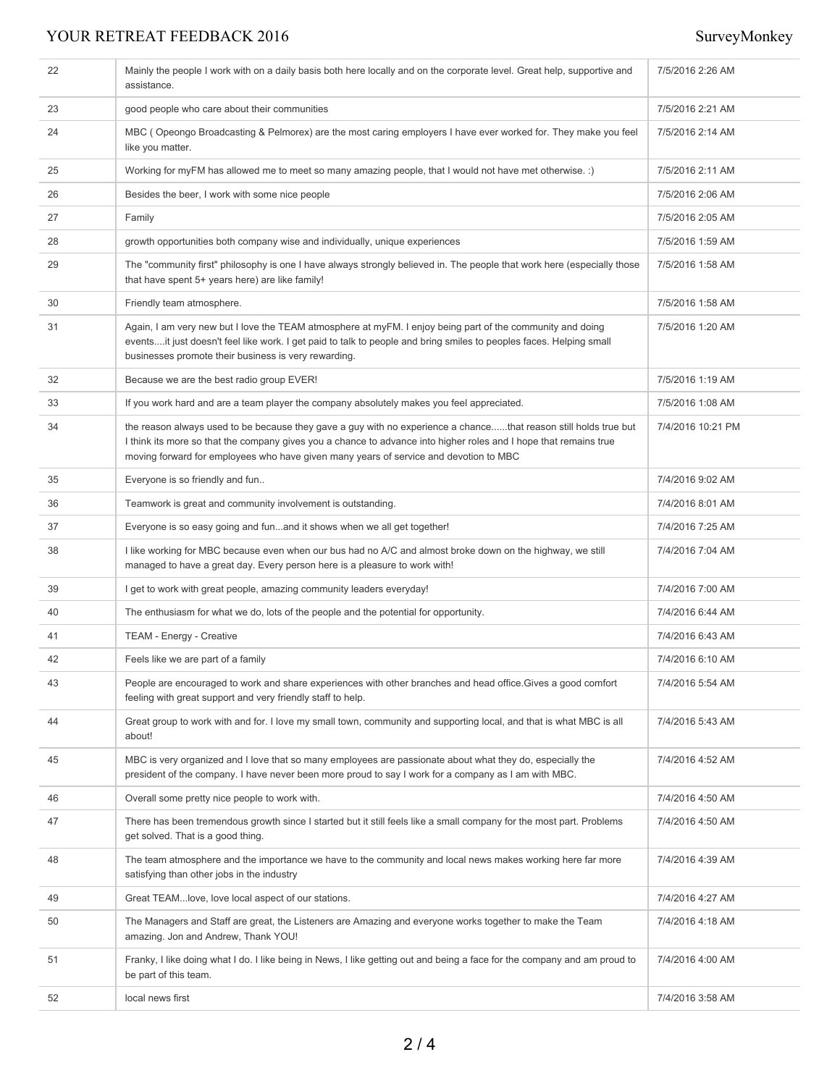## YOUR RETREAT FEEDBACK 2016 SurveyMonkey

| 22 | Mainly the people I work with on a daily basis both here locally and on the corporate level. Great help, supportive and<br>assistance.                                                                                                                                                                                         | 7/5/2016 2:26 AM  |
|----|--------------------------------------------------------------------------------------------------------------------------------------------------------------------------------------------------------------------------------------------------------------------------------------------------------------------------------|-------------------|
| 23 | good people who care about their communities                                                                                                                                                                                                                                                                                   | 7/5/2016 2:21 AM  |
| 24 | MBC (Opeongo Broadcasting & Pelmorex) are the most caring employers I have ever worked for. They make you feel<br>like you matter.                                                                                                                                                                                             | 7/5/2016 2:14 AM  |
| 25 | Working for myFM has allowed me to meet so many amazing people, that I would not have met otherwise. :)                                                                                                                                                                                                                        | 7/5/2016 2:11 AM  |
| 26 | Besides the beer, I work with some nice people                                                                                                                                                                                                                                                                                 | 7/5/2016 2:06 AM  |
| 27 | Family                                                                                                                                                                                                                                                                                                                         | 7/5/2016 2:05 AM  |
| 28 | growth opportunities both company wise and individually, unique experiences                                                                                                                                                                                                                                                    | 7/5/2016 1:59 AM  |
| 29 | The "community first" philosophy is one I have always strongly believed in. The people that work here (especially those<br>that have spent 5+ years here) are like family!                                                                                                                                                     | 7/5/2016 1:58 AM  |
| 30 | Friendly team atmosphere.                                                                                                                                                                                                                                                                                                      | 7/5/2016 1:58 AM  |
| 31 | Again, I am very new but I love the TEAM atmosphere at myFM. I enjoy being part of the community and doing<br>eventsit just doesn't feel like work. I get paid to talk to people and bring smiles to peoples faces. Helping small<br>businesses promote their business is very rewarding.                                      | 7/5/2016 1:20 AM  |
| 32 | Because we are the best radio group EVER!                                                                                                                                                                                                                                                                                      | 7/5/2016 1:19 AM  |
| 33 | If you work hard and are a team player the company absolutely makes you feel appreciated.                                                                                                                                                                                                                                      | 7/5/2016 1:08 AM  |
| 34 | the reason always used to be because they gave a guy with no experience a chancethat reason still holds true but<br>I think its more so that the company gives you a chance to advance into higher roles and I hope that remains true<br>moving forward for employees who have given many years of service and devotion to MBC | 7/4/2016 10:21 PM |
| 35 | Everyone is so friendly and fun                                                                                                                                                                                                                                                                                                | 7/4/2016 9:02 AM  |
| 36 | Teamwork is great and community involvement is outstanding.                                                                                                                                                                                                                                                                    | 7/4/2016 8:01 AM  |
| 37 | Everyone is so easy going and funand it shows when we all get together!                                                                                                                                                                                                                                                        | 7/4/2016 7:25 AM  |
| 38 | I like working for MBC because even when our bus had no A/C and almost broke down on the highway, we still<br>managed to have a great day. Every person here is a pleasure to work with!                                                                                                                                       | 7/4/2016 7:04 AM  |
| 39 | I get to work with great people, amazing community leaders everyday!                                                                                                                                                                                                                                                           | 7/4/2016 7:00 AM  |
| 40 | The enthusiasm for what we do, lots of the people and the potential for opportunity.                                                                                                                                                                                                                                           | 7/4/2016 6:44 AM  |
| 41 | TEAM - Energy - Creative                                                                                                                                                                                                                                                                                                       | 7/4/2016 6:43 AM  |
| 42 | Feels like we are part of a family                                                                                                                                                                                                                                                                                             | 7/4/2016 6:10 AM  |
| 43 | People are encouraged to work and share experiences with other branches and head office. Gives a good comfort<br>feeling with great support and very friendly staff to help.                                                                                                                                                   | 7/4/2016 5:54 AM  |
| 44 | Great group to work with and for. I love my small town, community and supporting local, and that is what MBC is all<br>about!                                                                                                                                                                                                  | 7/4/2016 5:43 AM  |
| 45 | MBC is very organized and I love that so many employees are passionate about what they do, especially the<br>president of the company. I have never been more proud to say I work for a company as I am with MBC.                                                                                                              | 7/4/2016 4:52 AM  |
| 46 | Overall some pretty nice people to work with.                                                                                                                                                                                                                                                                                  | 7/4/2016 4:50 AM  |
| 47 | There has been tremendous growth since I started but it still feels like a small company for the most part. Problems<br>get solved. That is a good thing.                                                                                                                                                                      | 7/4/2016 4:50 AM  |
| 48 | The team atmosphere and the importance we have to the community and local news makes working here far more<br>satisfying than other jobs in the industry                                                                                                                                                                       | 7/4/2016 4:39 AM  |
| 49 | Great TEAMlove, love local aspect of our stations.                                                                                                                                                                                                                                                                             | 7/4/2016 4:27 AM  |
| 50 | The Managers and Staff are great, the Listeners are Amazing and everyone works together to make the Team<br>amazing. Jon and Andrew, Thank YOU!                                                                                                                                                                                | 7/4/2016 4:18 AM  |
| 51 | Franky, I like doing what I do. I like being in News, I like getting out and being a face for the company and am proud to<br>be part of this team.                                                                                                                                                                             | 7/4/2016 4:00 AM  |
| 52 | local news first                                                                                                                                                                                                                                                                                                               | 7/4/2016 3:58 AM  |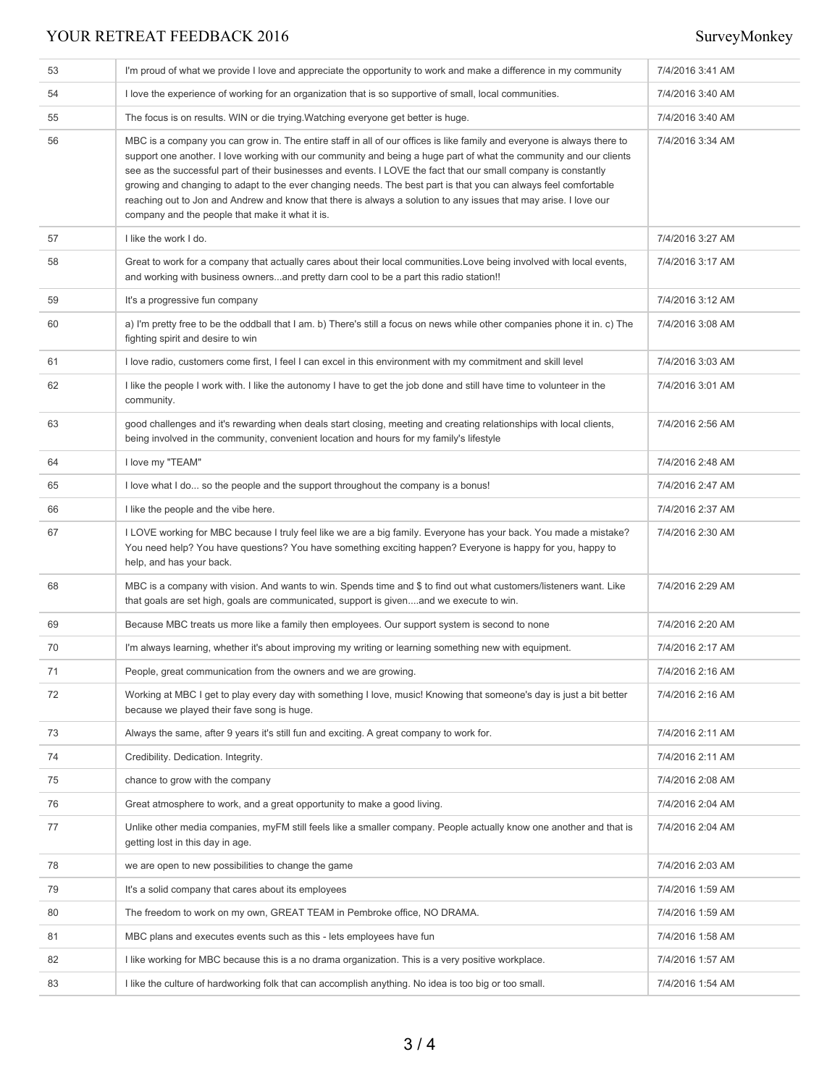## YOUR RETREAT FEEDBACK 2016 SurveyMonkey

| 53 | I'm proud of what we provide I love and appreciate the opportunity to work and make a difference in my community                                                                                                                                                                                                                                                                                                                                                                                                                                                                                                                                           | 7/4/2016 3:41 AM |
|----|------------------------------------------------------------------------------------------------------------------------------------------------------------------------------------------------------------------------------------------------------------------------------------------------------------------------------------------------------------------------------------------------------------------------------------------------------------------------------------------------------------------------------------------------------------------------------------------------------------------------------------------------------------|------------------|
| 54 | I love the experience of working for an organization that is so supportive of small, local communities.                                                                                                                                                                                                                                                                                                                                                                                                                                                                                                                                                    | 7/4/2016 3:40 AM |
| 55 | The focus is on results. WIN or die trying Watching everyone get better is huge.                                                                                                                                                                                                                                                                                                                                                                                                                                                                                                                                                                           | 7/4/2016 3:40 AM |
| 56 | MBC is a company you can grow in. The entire staff in all of our offices is like family and everyone is always there to<br>support one another. I love working with our community and being a huge part of what the community and our clients<br>see as the successful part of their businesses and events. I LOVE the fact that our small company is constantly<br>growing and changing to adapt to the ever changing needs. The best part is that you can always feel comfortable<br>reaching out to Jon and Andrew and know that there is always a solution to any issues that may arise. I love our<br>company and the people that make it what it is. | 7/4/2016 3:34 AM |
| 57 | I like the work I do.                                                                                                                                                                                                                                                                                                                                                                                                                                                                                                                                                                                                                                      | 7/4/2016 3:27 AM |
| 58 | Great to work for a company that actually cares about their local communities. Love being involved with local events,<br>and working with business ownersand pretty darn cool to be a part this radio station!!                                                                                                                                                                                                                                                                                                                                                                                                                                            | 7/4/2016 3:17 AM |
| 59 | It's a progressive fun company                                                                                                                                                                                                                                                                                                                                                                                                                                                                                                                                                                                                                             | 7/4/2016 3:12 AM |
| 60 | a) I'm pretty free to be the oddball that I am. b) There's still a focus on news while other companies phone it in. c) The<br>fighting spirit and desire to win                                                                                                                                                                                                                                                                                                                                                                                                                                                                                            | 7/4/2016 3:08 AM |
| 61 | I love radio, customers come first, I feel I can excel in this environment with my commitment and skill level                                                                                                                                                                                                                                                                                                                                                                                                                                                                                                                                              | 7/4/2016 3:03 AM |
| 62 | I like the people I work with. I like the autonomy I have to get the job done and still have time to volunteer in the<br>community.                                                                                                                                                                                                                                                                                                                                                                                                                                                                                                                        | 7/4/2016 3:01 AM |
| 63 | good challenges and it's rewarding when deals start closing, meeting and creating relationships with local clients,<br>being involved in the community, convenient location and hours for my family's lifestyle                                                                                                                                                                                                                                                                                                                                                                                                                                            | 7/4/2016 2:56 AM |
| 64 | I love my "TEAM"                                                                                                                                                                                                                                                                                                                                                                                                                                                                                                                                                                                                                                           | 7/4/2016 2:48 AM |
| 65 | I love what I do so the people and the support throughout the company is a bonus!                                                                                                                                                                                                                                                                                                                                                                                                                                                                                                                                                                          | 7/4/2016 2:47 AM |
| 66 | I like the people and the vibe here.                                                                                                                                                                                                                                                                                                                                                                                                                                                                                                                                                                                                                       | 7/4/2016 2:37 AM |
| 67 | I LOVE working for MBC because I truly feel like we are a big family. Everyone has your back. You made a mistake?<br>You need help? You have questions? You have something exciting happen? Everyone is happy for you, happy to<br>help, and has your back.                                                                                                                                                                                                                                                                                                                                                                                                | 7/4/2016 2:30 AM |
| 68 | MBC is a company with vision. And wants to win. Spends time and \$ to find out what customers/listeners want. Like<br>that goals are set high, goals are communicated, support is givenand we execute to win.                                                                                                                                                                                                                                                                                                                                                                                                                                              | 7/4/2016 2:29 AM |
| 69 | Because MBC treats us more like a family then employees. Our support system is second to none                                                                                                                                                                                                                                                                                                                                                                                                                                                                                                                                                              | 7/4/2016 2:20 AM |
| 70 | I'm always learning, whether it's about improving my writing or learning something new with equipment.                                                                                                                                                                                                                                                                                                                                                                                                                                                                                                                                                     | 7/4/2016 2:17 AM |
| 71 | People, great communication from the owners and we are growing.                                                                                                                                                                                                                                                                                                                                                                                                                                                                                                                                                                                            | 7/4/2016 2:16 AM |
| 72 | Working at MBC I get to play every day with something I love, music! Knowing that someone's day is just a bit better<br>because we played their fave song is huge.                                                                                                                                                                                                                                                                                                                                                                                                                                                                                         | 7/4/2016 2:16 AM |
| 73 | Always the same, after 9 years it's still fun and exciting. A great company to work for.                                                                                                                                                                                                                                                                                                                                                                                                                                                                                                                                                                   | 7/4/2016 2:11 AM |
| 74 | Credibility. Dedication. Integrity.                                                                                                                                                                                                                                                                                                                                                                                                                                                                                                                                                                                                                        | 7/4/2016 2:11 AM |
| 75 | chance to grow with the company                                                                                                                                                                                                                                                                                                                                                                                                                                                                                                                                                                                                                            | 7/4/2016 2:08 AM |
| 76 | Great atmosphere to work, and a great opportunity to make a good living.                                                                                                                                                                                                                                                                                                                                                                                                                                                                                                                                                                                   | 7/4/2016 2:04 AM |
| 77 | Unlike other media companies, myFM still feels like a smaller company. People actually know one another and that is<br>getting lost in this day in age.                                                                                                                                                                                                                                                                                                                                                                                                                                                                                                    | 7/4/2016 2:04 AM |
| 78 | we are open to new possibilities to change the game                                                                                                                                                                                                                                                                                                                                                                                                                                                                                                                                                                                                        | 7/4/2016 2:03 AM |
| 79 | It's a solid company that cares about its employees                                                                                                                                                                                                                                                                                                                                                                                                                                                                                                                                                                                                        | 7/4/2016 1:59 AM |
| 80 | The freedom to work on my own, GREAT TEAM in Pembroke office, NO DRAMA.                                                                                                                                                                                                                                                                                                                                                                                                                                                                                                                                                                                    | 7/4/2016 1:59 AM |
| 81 | MBC plans and executes events such as this - lets employees have fun                                                                                                                                                                                                                                                                                                                                                                                                                                                                                                                                                                                       | 7/4/2016 1:58 AM |
| 82 | I like working for MBC because this is a no drama organization. This is a very positive workplace.                                                                                                                                                                                                                                                                                                                                                                                                                                                                                                                                                         | 7/4/2016 1:57 AM |
| 83 | I like the culture of hardworking folk that can accomplish anything. No idea is too big or too small.                                                                                                                                                                                                                                                                                                                                                                                                                                                                                                                                                      | 7/4/2016 1:54 AM |